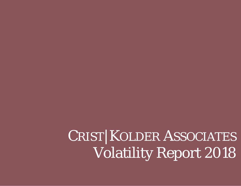CRIST|KOLDER ASSOCIATES Volatility Report 2018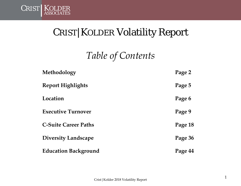

### CRIST|KOLDER Volatility Report

*Table of Contents*

| Methodology                 | Page 2  |
|-----------------------------|---------|
| <b>Report Highlights</b>    | Page 5  |
| Location                    | Page 6  |
| <b>Executive Turnover</b>   | Page 9  |
| <b>C-Suite Career Paths</b> | Page 18 |
| <b>Diversity Landscape</b>  | Page 36 |
| <b>Education Background</b> | Page 44 |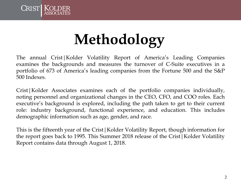

# **Methodology**

The annual Crist|Kolder Volatility Report of America's Leading Companies examines the backgrounds and measures the turnover of C-Suite executives in a portfolio of 673 of America's leading companies from the Fortune 500 and the S&P 500 Indexes.

Crist|Kolder Associates examines each of the portfolio companies individually, noting personnel and organizational changes in the CEO, CFO, and COO roles. Each executive's background is explored, including the path taken to get to their current role: industry background, functional experience, and education. This includes demographic information such as age, gender, and race.

This is the fifteenth year of the Crist|Kolder Volatility Report, though information for the report goes back to 1995. This Summer 2018 release of the Crist|Kolder Volatility Report contains data through August 1, 2018.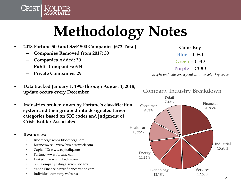# **Methodology Notes**

- **2018 Fortune 500 and S&P 500 Companies (673 Total)**
	- **Companies Removed from 2017: 30**
	- **Companies Added: 30**

CRIST | KOLDER

- **Public Companies: 644**
- **Private Companies: 29**
- **Data tracked January 1, 1995 through August 1, 2018; update occurs every December**
- **Industries broken down by Fortune's classification system and then grouped into designated larger categories based on SIC codes and judgment of Crist|Kolder Associates**
- **Resources:**
	- Bloomberg: www.bloomberg.com
	- Businessweek: www.businessweek.com
	- Capital IQ: www.capitaliq.com
	- Fortune: www.fortune.com
	- LinkedIn: www.linkedin.com
	- SEC Company Filings: www.sec.gov
	- Yahoo Finance: www.finance.yahoo.com
	- Individual company websites

**Color Key**  $B$ lue **= CEO Green = CFO Purple = COO**

*Graphs and data correspond with the color key above*

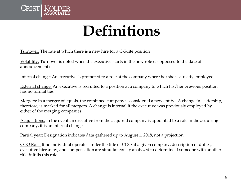

### **Definitions**

Turnover: The rate at which there is a new hire for a C-Suite position

Volatility: Turnover is noted when the executive starts in the new role (as opposed to the date of announcement)

Internal change: An executive is promoted to a role at the company where he/she is already employed

External change: An executive is recruited to a position at a company to which his/her previous position has no formal ties

Mergers: In a merger of equals, the combined company is considered a new entity. A change in leadership, therefore, is marked for all mergers. A change is internal if the executive was previously employed by either of the merging companies

Acquisitions: In the event an executive from the acquired company is appointed to a role in the acquiring company, it is an internal change

Partial year: Designation indicates data gathered up to August 1, 2018, not a projection

COO Role: If no individual operates under the title of COO at a given company, description of duties, executive hierarchy, and compensation are simultaneously analyzed to determine if someone with another title fulfills this role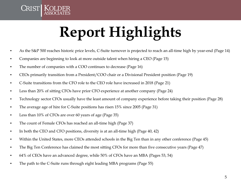

# **Report Highlights**

- As the S&P 500 reaches historic price levels, C-Suite turnover is projected to reach an all-time high by year-end (Page 14)
- Companies are beginning to look at more outside talent when hiring a CEO (Page 15)
- The number of companies with a COO continues to decrease (Page 16)
- CEOs primarily transition from a President/COO chair or a Divisional President position (Page 19)
- C-Suite transitions from the CFO role to the CEO role have increased in 2018 (Page 21)
- Less than 20% of sitting CFOs have prior CFO experience at another company (Page 24)
- Technology sector CFOs usually have the least amount of company experience before taking their position (Page 28)
- The average age of hire for C-Suite positions has risen 15% since 2005 (Page 31)
- Less than 10% of CFOs are over 60 years of age (Page 35)
- The count of Female CFOs has reached an all-time high (Page 37)
- In both the CEO and CFO positions, diversity is at an all-time high (Page 40, 42)
- Within the United States, more CEOs attended schools in the Big Ten than in any other conference (Page 45)
- The Big Ten Conference has claimed the most sitting CFOs for more than five consecutive years (Page 47)
- 64% of CEOs have an advanced degree, while 50% of CFOs have an MBA (Pages 53, 54)
- The path to the C-Suite runs through eight leading MBA programs (Page 55)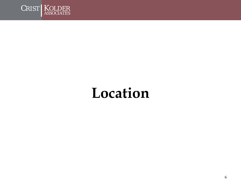

### **Location**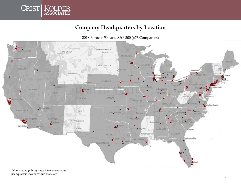

#### **Company Headquarters by Location**

NORTH DAKOTA **WASHINGTON MONTANA** Esmanti. **MINNESOTA** MAINE **WISCONSIN** SOUTH DAKOTA *RMONT* **Nation** OREGON **HAMPSH IDARD WYOMING LUCAUCA** EW YORK **IOWA** Milway **custom** NEBRASKA **SAIL LAKE CIR** ndianapol NEVADA Denver **UTAR AMANN** WEST AWARE KANSAS COLORADO **A**<sub>th</sub> Francisco MISSOURI **KENTUCKY** .<br>Zirgînia:Beach Lar legas CALIFORNIA ENMESSEE Santa Fe *DKLAHOMA* Memol CARDILIN ARICANSAS Los Angeles ARIZONA **DUTH** NEW MEXICO **ROUNA** Phoenix Birm San Diego Melicali Ciudad **ALABAMA SOV** 5 viannah *<u>Iribros</u>* MISSISSIPPI GEORGIA TEXAS packsonville Austin LOUISIANA · Houstrin San Antonio

2018 Fortune 500 and S&P 500 (673 Companies)

\*Non-shaded (white) states have no company headquarters located within that state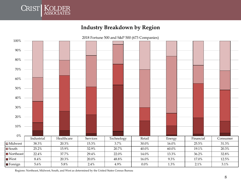

#### **Industry Breakdown by Region**



Regions: Northeast, Midwest, South, and West as determined by the United States Census Bureau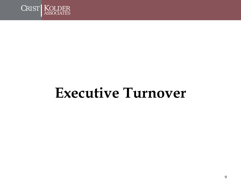

### **Executive Turnover**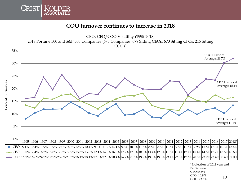

#### **COO turnover continues to increase in 2018**



| U 70 |  |  |  |  |  |  |  |  |  |  | 1995  1996  1997  1998  1999  2000  2001  2002  2003  2004  2005  2006  2007  2008  2009  2010  2011  2012  2012  2013  2014  2015  2016  2017  2018*         |  |
|------|--|--|--|--|--|--|--|--|--|--|---------------------------------------------------------------------------------------------------------------------------------------------------------------|--|
|      |  |  |  |  |  |  |  |  |  |  | ===CEO  8.1%  10.4% 11.9% 11.9% 12.0% 14.7% 12.9% 10.4%  9.3%  11.9% 14.1%  9.6%  10.0% 11.8%  8.8%   8.5%  11.5%  9.5%  11.8%  9.9%  11.8% 12.3% 10.3% 13.4% |  |
|      |  |  |  |  |  |  |  |  |  |  | ---CFO 13.5%12.4%16.2%15.8%17.5%17.9%15.3%13.8%12.1%14.3%16.0%17.2%17.3%18.3%13.4%12.3%11.8%11.4%17.1%15.4%14.8%17.7%15.8%16.6%                               |  |
|      |  |  |  |  |  |  |  |  |  |  |                                                                                                                                                               |  |

**\*Projection of 2018 year end Partial year: CEO:** *9.6%* **CFO:** *10.9%* **COO:** *21.9%* 10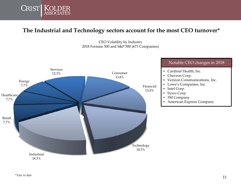

#### **The Industrial and Technology sectors account for the most CEO turnover\***

CEO Volatility by Industry 2018 Fortune 500 and S&P 500 (673 Companies)

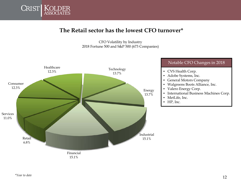

#### **The Retail sector has the lowest CFO turnover\***

CFO Volatility by Industry 2018 Fortune 500 and S&P 500 (673 Companies)

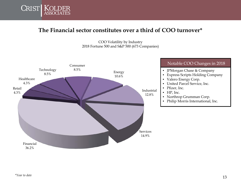

#### **The Financial sector constitutes over a third of COO turnover\***

COO Volatility by Industry 2018 Fortune 500 and S&P 500 (673 Companies)



#### Notable COO Changes in 2018

- JPMorgan Chase & Company
- Express Scripts Holding Company
- Valero Energy Corp.<br>• United Parcel Service
- United Parcel Service, Inc.
- Pfizer, Inc.
- HP, Inc.
- Northrop Grumman Corp.
- Philip Morris International, Inc.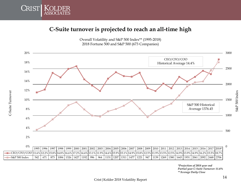

C-Suite Turnover

C-Suite Turnover

#### **C-Suite turnover is projected to reach an all-time high**

Overall Volatility and S&P 500 Index\*\* (1995-2018) 2018 Fortune 500 and S&P 500 (673 Companies)



|                                                                                                                                                                |  | 1995  1996  1997  1998  1999   2000   2001   2002   2003   2004   2005   2006   2007   2008   2009   2010   2011   2012   2013   2014   2015   2016   2017  2018* |  |  |  |  |  |  |  |  |  |  |
|----------------------------------------------------------------------------------------------------------------------------------------------------------------|--|-------------------------------------------------------------------------------------------------------------------------------------------------------------------|--|--|--|--|--|--|--|--|--|--|
| ———CEO/CFO/COO 11.6% 12.2% 15.8% 14.8% 16.6% 17.2% 14.4% 13.1% 11.9% 14.6% 15.9% 15.1% 14.9% 12.5% 11.9% 13.5% 12.5% 14.9% 14.9% 13.9% 14.9% 16.2% 15.5% 18.7% |  |                                                                                                                                                                   |  |  |  |  |  |  |  |  |  |  |
| -S&P 500 Index                                                                                                                                                 |  | 542   671   873   1084   1326   1427   1192   996   964   1131   1207   1311   1477   1221   947   1139   1269   1380   1643   1931   2061   2092   2448   2706   |  |  |  |  |  |  |  |  |  |  |

*\*Projection of 2018 year end Partial year C-Suite Turnover: 11.6% \*\*Average Daily Close*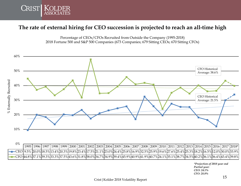

#### **The rate of external hiring for CEO succession is projected to reach an all-time high**





| 0%                                                                                                                              |                                                                                                                                                 |  |  |  |  |  |  |  |  |  |  |  |
|---------------------------------------------------------------------------------------------------------------------------------|-------------------------------------------------------------------------------------------------------------------------------------------------|--|--|--|--|--|--|--|--|--|--|--|
|                                                                                                                                 | 1995  1996  1997  1998  1999  2000  2001  2002  2003  2004  2005  2006  2007  2008  2009  2010  2011  2012  2013  2014  2015  2016  2017  2018* |  |  |  |  |  |  |  |  |  |  |  |
| ===CEO 9.5% 20.0%h8.5%h3.4%20.3%h9.8%23.4%h7.5%21.1%23.0%24.4%25.8%h6.9%B2.5%25.9%h9.6%27.6%25.4%25.3%h8.2%h6.5%h2.0%B0.0%B3.9% |                                                                                                                                                 |  |  |  |  |  |  |  |  |  |  |  |
|                                                                                                                                 | =CFO 44.8%37.1%39.3%33.3%37.5%43.6%31.8%58.0%34.7%34.9%39.4%45.9%40.9%41.9%40.7%24.1%35.1%38.7%34.5%40.2%36.1%36.4%43.4%39.8%                   |  |  |  |  |  |  |  |  |  |  |  |

*\*Projection of 2018 year end Partial year: CEO: 24.1% CFO: 28.8%*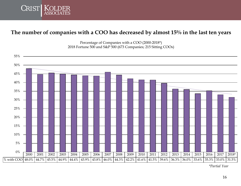

#### **The number of companies with a COO has decreased by almost 15% in the last ten years**



Percentage of Companies with a COO (2000-2018\*) 2018 Fortune 500 and S&P 500 (673 Companies; 215 Sitting COOs)

*\*Partial Year*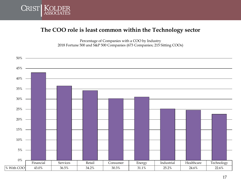

#### **The COO role is least common within the Technology sector**

Percentage of Companies with a COO by Industry 2018 Fortune 500 and S&P 500 Companies (673 Companies; 215 Sitting COOs)

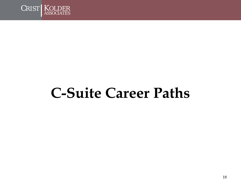

## **C-Suite Career Paths**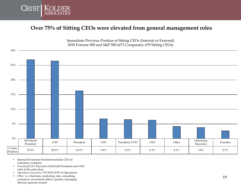

#### **Over 75% of Sitting CEOs were elevated from general management roles**



Immediate Previous Position of Sitting CEOs (Internal or External) 2018 Fortune 500 and S&P 500 (673 Companies; 679 Sitting CEOs)

- Internal Divisional President includes CEO of subsidiary company
- *President/COO:* Executive held both President and COO roles at the same time
- *Operations Executive:* VP/SVP/EVP of Operations
- *Other:* i.e. chairman, marketing, risk, consulting, commerce, investment officer, partner, managing director, general counsel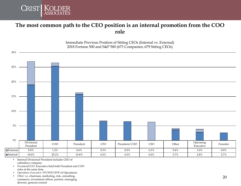

30%

#### **The most common path to the CEO position is an internal promotion from the COO role**

Immediate Previous Position of Sitting CEOs (Internal vs. External) 2018 Fortune 500 and S&P 500 (673 Companies; 679 Sitting CEOs)



• Internal Divisional President includes CEO of subsidiary company

- *President/COO:* Executive held both President and COO roles at the same time
- *Operations Executive:* VP/SVP/EVP of Operations
- *Other:* i.e. chairman, marketing, risk, consulting, commerce, investment officer, partner, managing director, general counsel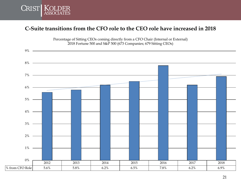

#### **C-Suite transitions from the CFO role to the CEO role have increased in 2018**

Percentage of Sitting CEOs coming directly from a CFO Chair (Internal or External) 2018 Fortune 500 and S&P 500 (673 Companies; 679 Sitting CEOs)

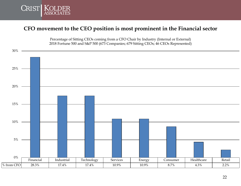

#### **CFO movement to the CEO position is most prominent in the Financial sector**



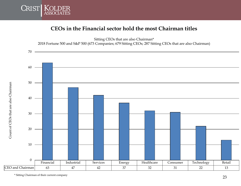

#### **CEOs in the Financial sector hold the most Chairman titles**



\* Sitting Chairman of their current company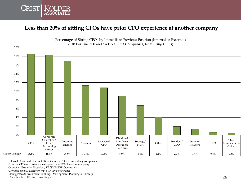

#### **Less than 20% of sitting CFOs have prior CFO experience at another company**



Percentage of Sitting CFOs by Immediate Previous Position (Internal or External)

•Internal Divisional Finance Officer includes CFOs of subsidiary companies

•External CFO recruitment means previous CFO of another company

•*Operations Executive:* President, VP/SVP/EVP Operations

•*Corporate Finance Executive:* VP, SVP, EVP of Finance

•*Strategy/M&A:* Investment Banking, Development, Planning or Strategy

•*Other:* tax, law, IT, risk, consulting, etc.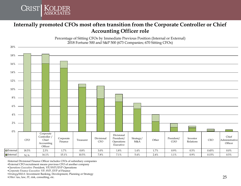

#### **Internally promoted CFOs most often transition from the Corporate Controller or Chief Accounting Officer role**

Percentage of Sitting CFOs by Immediate Previous Position (Internal or External) 2018 Fortune 500 and S&P 500 (673 Companies; 670 Sitting CFOs)



•Internal Divisional Finance Officer includes CFOs of subsidiary companies

•External CFO recruitment means previous CFO of another company

•*Operations Executive:* President, VP/SVP/EVP Operations

•*Corporate Finance Executive:* VP, SVP, EVP of Finance

•*Strategy/M&A:* Investment Banking, Development, Planning or Strategy

•*Other:* tax, law, IT, risk, consulting, etc.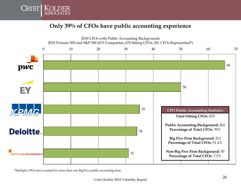

#### **Only 39% of CFOs have public accounting experience**



\*Multiple CFOs have worked for more than one Big Five public accounting firm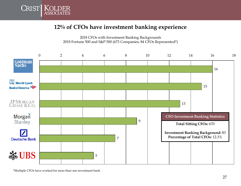

#### **12% of CFOs have investment banking experience**





\*Multiple CFOs have worked for more than one investment bank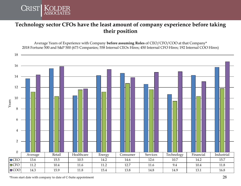

#### **Technology sector CFOs have the least amount of company experience before taking their position**

Average Years of Experience with Company **before assuming Roles** of CEO/CFO/COO at that Company\* 2018 Fortune 500 and S&P 500 (673 Companies; 558 Internal CEOs Hires; 450 Internal CFO Hires; 192 Internal COO Hires)

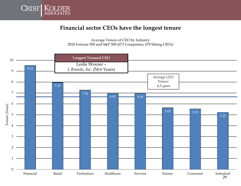

#### **Financial sector CEOs have the longest tenure**

Average Tenure of CEO by Industry 2018 Fortune 500 and S&P 500 (673 Companies; 679 Sitting CEOs)

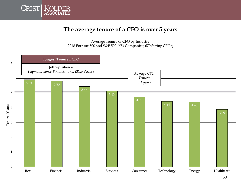

#### **The average tenure of a CFO is over 5 years**

Average Tenure of CFO by Industry 2018 Fortune 500 and S&P 500 (673 Companies; 670 Sitting CFOs)

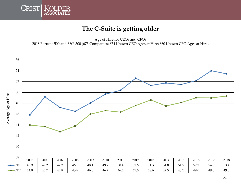

#### **The C-Suite is getting older**

Age of Hire for CEOs and CFOs

2018 Fortune 500 and S&P 500 (673 Companies; 674 Known CEO Ages at Hire; 660 Known CFO Ages at Hire)



| JO.    | 2005 | 2006 | 2007 | 2008 | 2009 | 2010 | 2011 | 2012 | 2013 | 2014 | 2015 | 2016 | 2017 | 2018 |
|--------|------|------|------|------|------|------|------|------|------|------|------|------|------|------|
| $-CEO$ | 45.9 | 49.2 | 47.2 | 46.5 | 48.1 | 49.7 | 50.4 | 52.6 | 51.3 | 51.8 | 51.5 | 52.2 | 54.0 | 53.4 |
| $-CFO$ | 44.0 | 43.7 | 42.8 | 43.8 | 46.0 | 46.7 | 46.4 | 47.6 | 48.6 | 47.5 | 48.1 | 49.0 | 49.0 | 49.3 |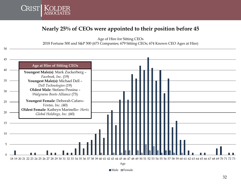

#### **Nearly 25% of CEOs were appointed to their position before 45**

Age of Hire for Sitting CEOs

2018 Fortune 500 and S&P 500 (673 Companies; 679 Sitting CEOs; 674 Known CEO Ages at Hire)



Male Female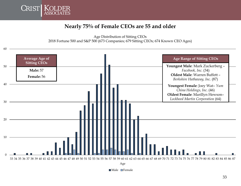

#### **Nearly 75% of Female CEOs are 55 and older**



Male Female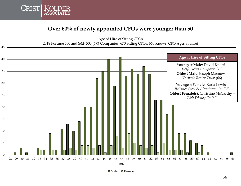

#### **Over 60% of newly appointed CFOs were younger than 50**

Age of Hire of Sitting CFOs 2018 Fortune 500 and S&P 500 (673 Companies; 670 Sitting CFOs; 660 Known CFO Ages at Hire)



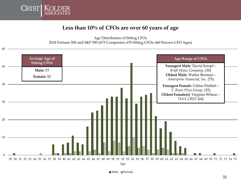

#### **Less than 10% of CFOs are over 60 years of age**



Male Female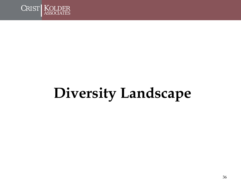

# **Diversity Landscape**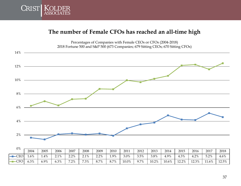

#### **The number of Female CFOs has reached an all-time high**

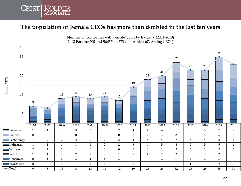

#### **The population of Female CEOs has more than doubled in the last ten years**



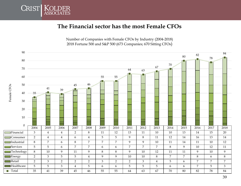

#### **The Financial sector has the most Female CFOs**

Number of Companies with Female CFOs by Industry (2004-2018) 2018 Fortune 500 and S&P 500 (673 Companies; 670 Sitting CFOs)

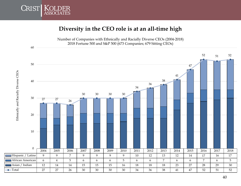

#### **Diversity in the CEO role is at an all-time high**



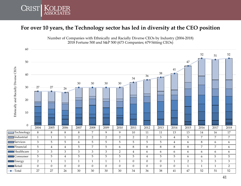

#### **For over 10 years, the Technology sector has led in diversity at the CEO position**

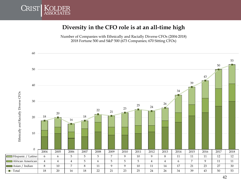

#### **Diversity in the CFO role is at an all-time high**

Number of Companies with Ethnically and Racially Diverse CFOs (2004-2018) 2018 Fortune 500 and S&P 500 (673 Companies; 670 Sitting CFOs)

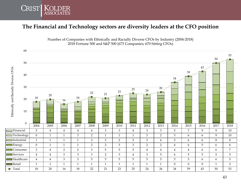

#### **The Financial and Technology sectors are diversity leaders at the CFO position**



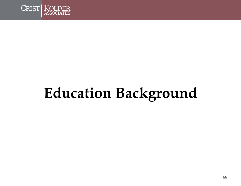

# **Education Background**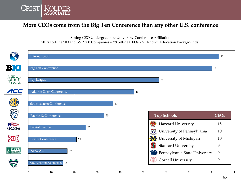

#### **More CEOs come from the Big Ten Conference than any other U.S. conference**

Sitting CEO Undergraduate University Conference Affiliation 2018 Fortune 500 and S&P 500 Companies (679 Sitting CEOs; 651 Known Education Backgrounds)

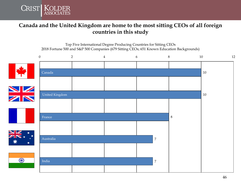

#### **Canada and the United Kingdom are home to the most sitting CEOs of all foreign countries in this study**

Top Five International Degree Producing Countries for Sitting CEOs 2018 Fortune 500 and S&P 500 Companies (679 Sitting CEOs; 651 Known Education Backgrounds)

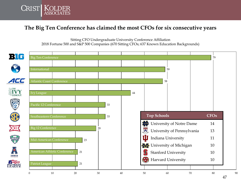

#### **The Big Ten Conference has claimed the most CFOs for six consecutive years**

Sitting CFO Undergraduate University Conference Affiliation 2018 Fortune 500 and S&P 500 Companies (670 Sitting CFOs; 637 Known Education Backgrounds)



47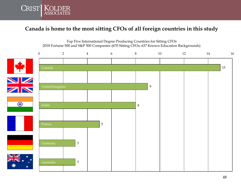

#### **Canada is home to the most sitting CFOs of all foreign countries in this study**

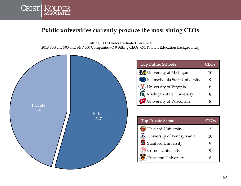

#### **Public universities currently produce the most sitting CEOs**

Sitting CEO Undergraduate University 2018 Fortune 500 and S&P 500 Companies (679 Sitting CEOs; 651 Known Education Backgrounds)

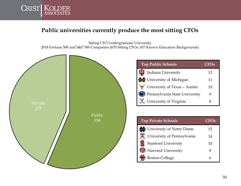

#### **Public universities currently produce the most sitting CFOs**

Sitting CFO Undergraduate University 2018 Fortune 500 and S&P 500 Companies (670 Sitting CFOs; 637 Known Education Backgrounds)

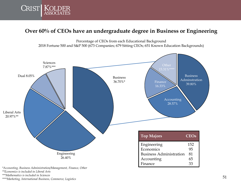

#### **Over 60% of CEOs have an undergraduate degree in Business or Engineering**



*\*Accounting, Business Administration/Management, Finance, Other*

*\*\*Economics is included in Liberal Arts*

*\*\*\*Mathematics is included in Sciences*

*\*\*\*\*Marketing, International Business, Commerce, Logistics*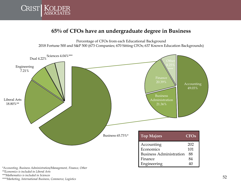

#### **65% of CFOs have an undergraduate degree in Business**





*\*Accounting, Business Administration/Management, Finance, Other*

*\*\*Economics is included in Liberal Arts*

*\*\*\*Mathematics is included in Sciences*

*\*\*\*\*Marketing, International Business, Commerce, Logistics*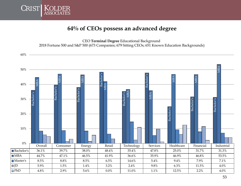

#### **64% of CEOs possess an advanced degree**

CEO **Terminal Degree** Educational Background 2018 Fortune 500 and S&P 500 (673 Companies; 679 Sitting CEOs; 651 Known Education Backgrounds)

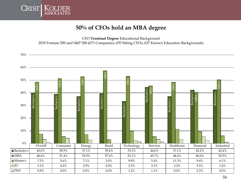

#### **50% of CFOs hold an MBA degree**

CFO **Terminal Degree** Educational Background 2018 Fortune 500 and S&P 500 (673 Companies; 670 Sitting CFOs; 637 Known Education Backgrounds)